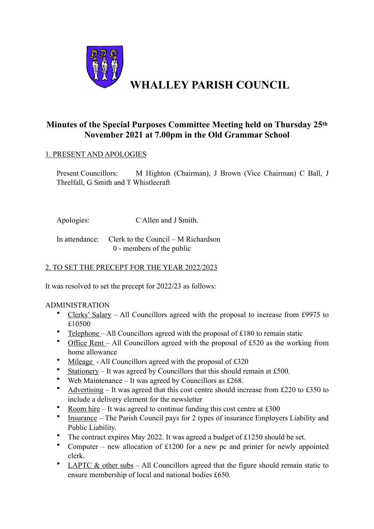

# **Minutes of the Special Purposes Committee Meeting held on Thursday 25th November 2021 at 7.00pm in the Old Grammar School**

#### 1. PRESENT AND APOLOGIES

Present Councillors: M Highton (Chairman), J Brown (Vice Chairman) C Ball, J Threlfall, G Smith and T Whistlecraft

Apologies: C Allen and J Smith.

In attendance: Clerk to the Council – M Richardson 0 - members of the public

## 2. TO SET THE PRECEPT FOR THE YEAR 2022/2023

It was resolved to set the precept for 2022/23 as follows:

#### ADMINISTRATION

- Clerks' Salary All Councillors agreed with the proposal to increase from £9975 to £10500
- Telephone All Councillors agreed with the proposal of  $£180$  to remain static
- Office Rent All Councillors agreed with the proposal of £520 as the working from home allowance
- Mileage All Councillors agreed with the proposal of £320
- Stationery It was agreed by Councillors that this should remain at £500.
- Web Maintenance It was agreed by Councillors as £268.
- Advertising It was agreed that this cost centre should increase from £220 to £350 to include a delivery element for the newsletter
- Room hire It was agreed to continue funding this cost centre at £300<br>•  $\frac{1}{2}$  The Darish Council pays for 2 types of insurance Employe
- Insurance The Parish Council pays for 2 types of insurance Employers Liability and Public Liability.
- The contract expires May 2022. It was agreed a budget of £1250 should be set.
- Computer new allocation of £1200 for a new pc and printer for newly appointed clerk.
- LAPTC  $\&$  other subs All Councillors agreed that the figure should remain static to ensure membership of local and national bodies £650.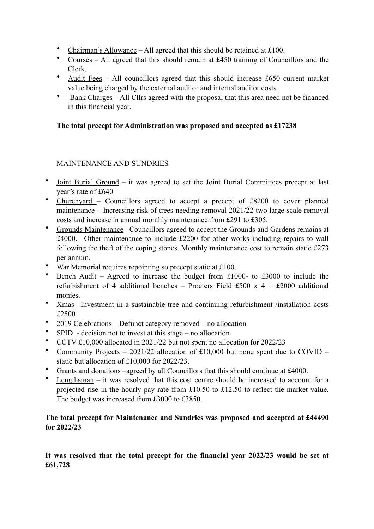- Chairman's Allowance All agreed that this should be retained at £100.
- Courses All agreed that this should remain at £450 training of Councillors and the Clerk.
- Audit Fees All councillors agreed that this should increase £650 current market value being charged by the external auditor and internal auditor costs
- Bank Charges All Cllrs agreed with the proposal that this area need not be financed in this financial year.

#### **The total precept for Administration was proposed and accepted as £17238**

### MAINTENANCE AND SUNDRIES

- Joint Burial Ground it was agreed to set the Joint Burial Committees precept at last year's rate of £640
- Churchyard Councillors agreed to accept a precept of £8200 to cover planned maintenance – Increasing risk of trees needing removal 2021/22 two large scale removal costs and increase in annual monthly maintenance from £291 to £305.
- Grounds Maintenance– Councillors agreed to accept the Grounds and Gardens remains at £4000. Other maintenance to include £2200 for other works including repairs to wall following the theft of the coping stones. Monthly maintenance cost to remain static £273 per annum.
- War Memorial requires repointing so precept static at £100.
- Bench Audit Agreed to increase the budget from £1000- to £3000 to include the refurbishment of 4 additional benches – Procters Field £500 x  $4 = \text{\pounds}2000$  additional monies.
- Xmas– Investment in a sustainable tree and continuing refurbishment /installation costs £2500
- 2019 Celebrations Defunct category removed no allocation
- $SPID decision not to invest at this stage no allocation$
- CCTV £10,000 allocated in 2021/22 but not spent no allocation for 2022/23
- Community Projects 2021/22 allocation of £10,000 but none spent due to COVID static but allocation of £10,000 for 2022/23.
- Grants and donations –agreed by all Councillors that this should continue at £4000.
- Lengthsman  $-$  it was resolved that this cost centre should be increased to account for a projected rise in the hourly pay rate from £10.50 to £12.50 to reflect the market value. The budget was increased from £3000 to £3850.

#### **The total precept for Maintenance and Sundries was proposed and accepted at £44490 for 2022/23**

**It was resolved that the total precept for the financial year 2022/23 would be set at £61,728**